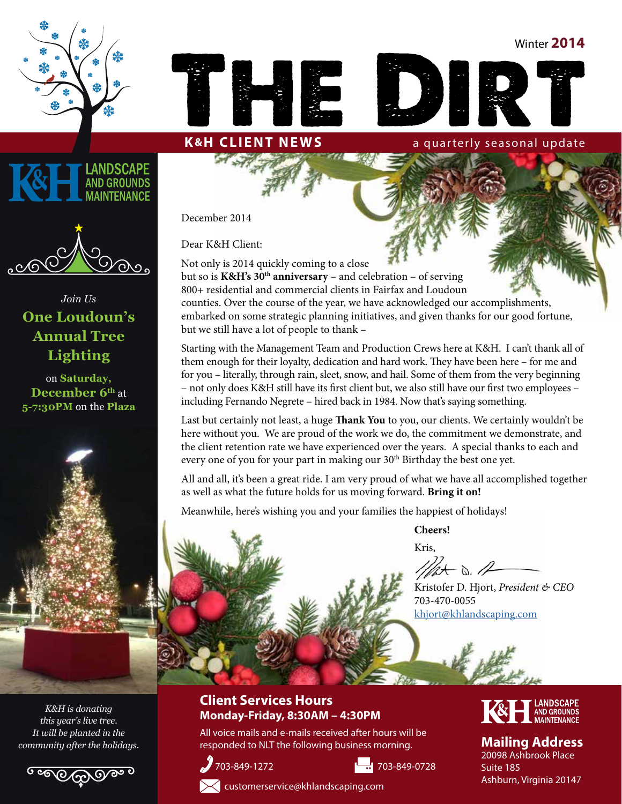Winter **2014**







*Join Us*  **One Loudoun's Annual Tree Lighting**

on **Saturday,**  December 6<sup>th</sup> at **5-7:30PM** on the **Plaza**

*K&H is donating this year's live tree. It will be planted in the community after the holidays.*



December 2014

Dear K&H Client:

Not only is 2014 quickly coming to a close but so is **K&H's 30<sup>th</sup> anniversary** – and celebration – of serving 800+ residential and commercial clients in Fairfax and Loudoun counties. Over the course of the year, we have acknowledged our accomplishments, embarked on some strategic planning initiatives, and given thanks for our good fortune, but we still have a lot of people to thank –

**K&H CLIENT NEWS** a quarterly seasonal update

Starting with the Management Team and Production Crews here at K&H. I can't thank all of them enough for their loyalty, dedication and hard work. They have been here – for me and for you – literally, through rain, sleet, snow, and hail. Some of them from the very beginning – not only does K&H still have its first client but, we also still have our first two employees – including Fernando Negrete – hired back in 1984. Now that's saying something.

Last but certainly not least, a huge **Thank You** to you, our clients. We certainly wouldn't be here without you. We are proud of the work we do, the commitment we demonstrate, and the client retention rate we have experienced over the years. A special thanks to each and every one of you for your part in making our 30<sup>th</sup> Birthday the best one yet.

All and all, it's been a great ride. I am very proud of what we have all accomplished together as well as what the future holds for us moving forward. **Bring it on!** 

Meanwhile, here's wishing you and your families the happiest of holidays!

**Cheers!**

Kris,

 $1111 + 0.12$ 

Kristofer D. Hjort, *President & CEO* 703-470-0055 [khjort@khlandscaping.com](mailto:bhjort%40khlandscaping.com?subject=)

#### **Client Services Hours Monday-Friday, 8:30AM – 4:30PM**

All voice mails and e-mails received after hours will be responded to NLT the following business morning.





### **Mailing Address**

20098 Ashbrook Place Suite 185 Ashburn, Virginia 20147



[customerservice@khlandscaping.com](mailto:customerservice@khlandscaping.com)